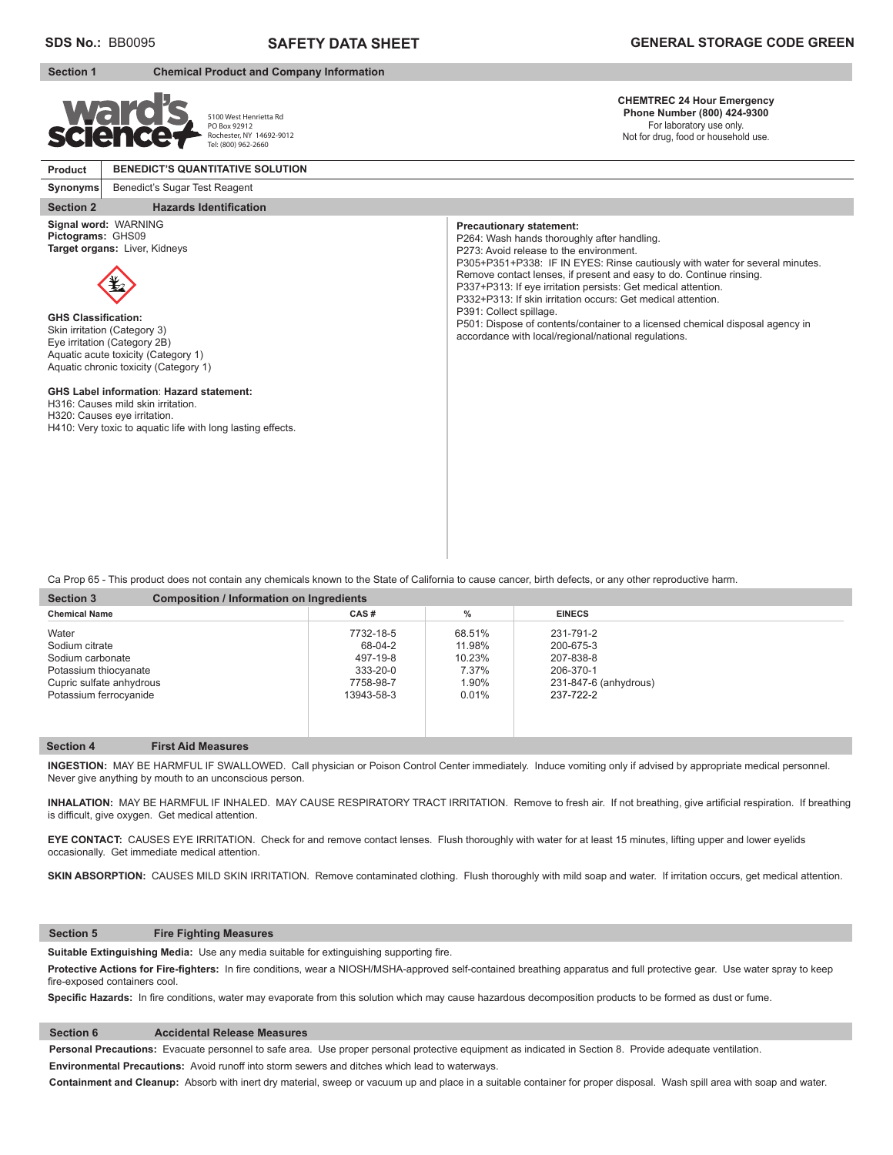## **Section 1 Chemical Product and Company Information**

5100 West Henrietta Rd PO Box 92912 Rochester, NY 14692-9012 Tel: (800) 962-2660

**CHEMTREC 24 Hour Emergency Phone Number (800) 424-9300**  For laboratory use only.

P305+P351+P338: IF IN EYES: Rinse cautiously with water for several minutes.

P501: Dispose of contents/container to a licensed chemical disposal agency in

Remove contact lenses, if present and easy to do. Continue rinsing. P337+P313: If eye irritation persists: Get medical attention. P332+P313: If skin irritation occurs: Get medical attention.

Not for drug, food or household use.

### **Product BENEDICT'S QUANTITATIVE SOLUTION**

### **Synonyms** Benedict's Sugar Test Reagent

**Section 2** Hazards Identification

**Signal word:** WARNING **Pictograms:** GHS09 **Target organs:** Liver, Kidneys



**GHS Classification:** Skin irritation (Category 3) Eye irritation (Category 2B) Aquatic acute toxicity (Category 1) Aquatic chronic toxicity (Category 1)

### **GHS Label information**: **Hazard statement:**

H316: Causes mild skin irritation.

H320: Causes eye irritation.

H410: Very toxic to aquatic life with long lasting effects.

Ca Prop 65 - This product does not contain any chemicals known to the State of California to cause cancer, birth defects, or any other reproductive harm.

| <b>Section 3</b>         | <b>Composition / Information on Ingredients</b> |            |        |                       |  |
|--------------------------|-------------------------------------------------|------------|--------|-----------------------|--|
| <b>Chemical Name</b>     |                                                 | CAS#       | $\%$   | <b>EINECS</b>         |  |
| Water                    |                                                 | 7732-18-5  | 68.51% | 231-791-2             |  |
| Sodium citrate           |                                                 | 68-04-2    | 11.98% | 200-675-3             |  |
| Sodium carbonate         |                                                 | 497-19-8   | 10.23% | 207-838-8             |  |
| Potassium thiocyanate    |                                                 | 333-20-0   | 7.37%  | 206-370-1             |  |
| Cupric sulfate anhydrous |                                                 | 7758-98-7  | 1.90%  | 231-847-6 (anhydrous) |  |
| Potassium ferrocyanide   |                                                 | 13943-58-3 | 0.01%  | 237-722-2             |  |
|                          |                                                 |            |        |                       |  |
|                          |                                                 |            |        |                       |  |

**Precautionary statement:**

P391: Collect spillage.

P264: Wash hands thoroughly after handling. P273: Avoid release to the environment.

accordance with local/regional/national regulations.

### **Section 4 First Aid Measures**

**INGESTION:** MAY BE HARMFUL IF SWALLOWED. Call physician or Poison Control Center immediately. Induce vomiting only if advised by appropriate medical personnel. Never give anything by mouth to an unconscious person.

INHALATION: MAY BE HARMFUL IF INHALED. MAY CAUSE RESPIRATORY TRACT IRRITATION. Remove to fresh air. If not breathing, give artificial respiration. If breathing is difficult, give oxygen. Get medical attention.

**EYE CONTACT:** CAUSES EYE IRRITATION. Check for and remove contact lenses. Flush thoroughly with water for at least 15 minutes, lifting upper and lower eyelids occasionally. Get immediate medical attention.

SKIN ABSORPTION: CAUSES MILD SKIN IRRITATION. Remove contaminated clothing. Flush thoroughly with mild soap and water. If irritation occurs, get medical attention.

### **Section 5 Fire Fighting Measures**

Suitable Extinguishing Media: Use any media suitable for extinguishing supporting fire.

Protective Actions for Fire-fighters: In fire conditions, wear a NIOSH/MSHA-approved self-contained breathing apparatus and full protective gear. Use water spray to keep fire-exposed containers cool.

Specific Hazards: In fire conditions, water may evaporate from this solution which may cause hazardous decomposition products to be formed as dust or fume.

# **Section 6 Accidental Release Measures**

**Personal Precautions:** Evacuate personnel to safe area. Use proper personal protective equipment as indicated in Section 8. Provide adequate ventilation. **Environmental Precautions:** Avoid runoff into storm sewers and ditches which lead to waterways.

**Containment and Cleanup:** Absorb with inert dry material, sweep or vacuum up and place in a suitable container for proper disposal. Wash spill area with soap and water.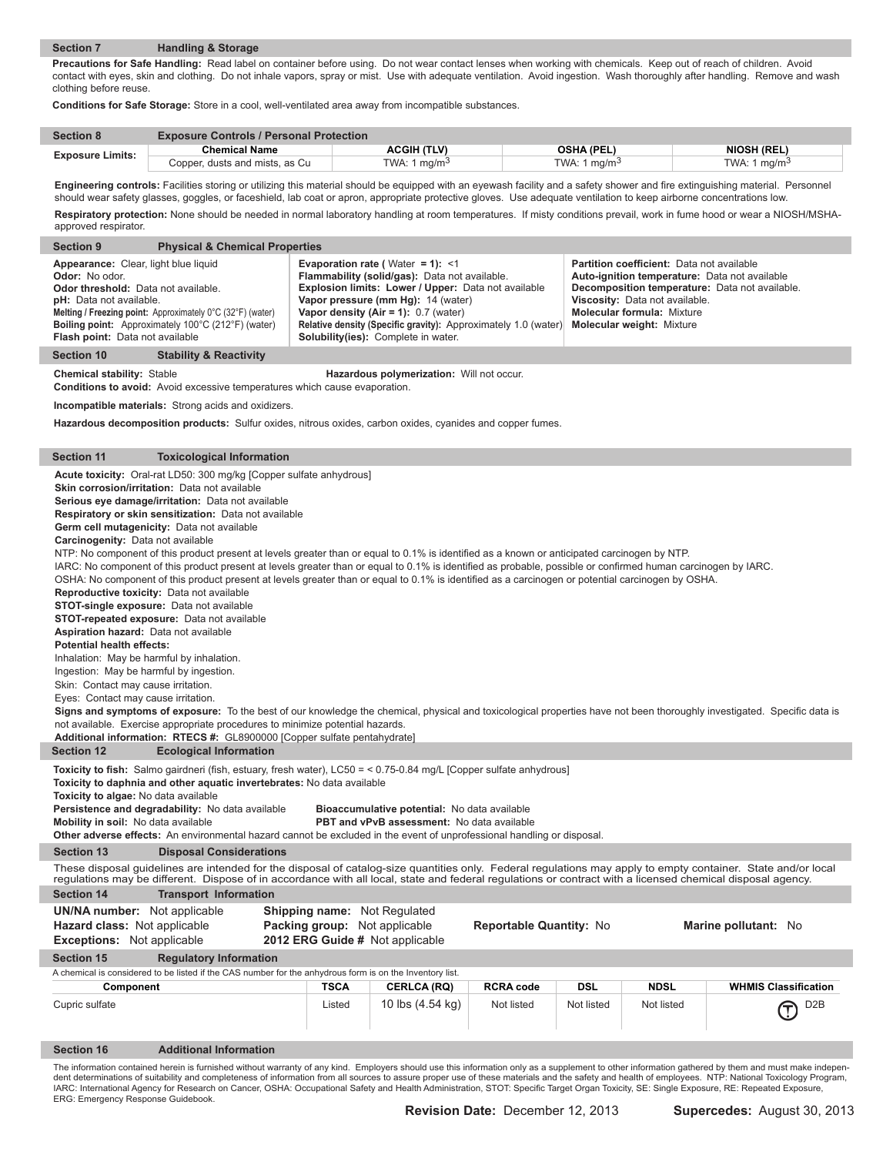# **Section 7 Handling & Storage**

ı

I

I

I

I

**Precautions for Safe Handling:** Read label on container before using. Do not wear contact lenses when working with chemicals. Keep out of reach of children. Avoid contact with eyes, skin and clothing. Do not inhale vapors, spray or mist. Use with adequate ventilation. Avoid ingestion. Wash thoroughly after handling. Remove and wash clothing before reuse.

**Conditions for Safe Storage:** Store in a cool, well-ventilated area away from incompatible substances.

| <b>Section 8</b>        | <b>Exposure Controls / Personal Protection</b> |                 |                          |                          |
|-------------------------|------------------------------------------------|-----------------|--------------------------|--------------------------|
|                         | Chemical Name                                  | ACGIH (TLV)     | <b>OSHA (PEL)</b>        | <b>NIOSH (REL)</b>       |
| <b>Exposure Limits:</b> | Copper, dusts and mists, as Cu                 | TWA: 1 mg/m $3$ | TWA: 1 mg/m <sup>3</sup> | TWA: 1 mg/m <sup>3</sup> |

Engineering controls: Facilities storing or utilizing this material should be equipped with an eyewash facility and a safety shower and fire extinguishing material. Personnel should wear safety glasses, goggles, or faceshield, lab coat or apron, appropriate protective gloves. Use adequate ventilation to keep airborne concentrations low. Respiratory protection: None should be needed in normal laboratory handling at room temperatures. If misty conditions prevail, work in fume hood or wear a NIOSH/MSHA-

| approved respirator.                                                                                                                                                                                                                                                                                                                                                                                                                                                                                                                                                                                                                                                                                                                                                                                                                                                                          |                                                                                                                                                                                                                                                                                                                                                                                                                                                                                                                                                                                                                                                                                                                                                                                                                                                                                                                                                                                                                                                                                                                                                                                                                                                                                                                                                                                                                              |             |                                           |                  |            |             |                             |  |  |  |  |
|-----------------------------------------------------------------------------------------------------------------------------------------------------------------------------------------------------------------------------------------------------------------------------------------------------------------------------------------------------------------------------------------------------------------------------------------------------------------------------------------------------------------------------------------------------------------------------------------------------------------------------------------------------------------------------------------------------------------------------------------------------------------------------------------------------------------------------------------------------------------------------------------------|------------------------------------------------------------------------------------------------------------------------------------------------------------------------------------------------------------------------------------------------------------------------------------------------------------------------------------------------------------------------------------------------------------------------------------------------------------------------------------------------------------------------------------------------------------------------------------------------------------------------------------------------------------------------------------------------------------------------------------------------------------------------------------------------------------------------------------------------------------------------------------------------------------------------------------------------------------------------------------------------------------------------------------------------------------------------------------------------------------------------------------------------------------------------------------------------------------------------------------------------------------------------------------------------------------------------------------------------------------------------------------------------------------------------------|-------------|-------------------------------------------|------------------|------------|-------------|-----------------------------|--|--|--|--|
| <b>Section 9</b>                                                                                                                                                                                                                                                                                                                                                                                                                                                                                                                                                                                                                                                                                                                                                                                                                                                                              | <b>Physical &amp; Chemical Properties</b>                                                                                                                                                                                                                                                                                                                                                                                                                                                                                                                                                                                                                                                                                                                                                                                                                                                                                                                                                                                                                                                                                                                                                                                                                                                                                                                                                                                    |             |                                           |                  |            |             |                             |  |  |  |  |
| Appearance: Clear, light blue liquid<br>Evaporation rate (Water = 1): <1<br><b>Partition coefficient:</b> Data not available<br>Odor: No odor.<br>Flammability (solid/gas): Data not available.<br>Auto-ignition temperature: Data not available<br>Explosion limits: Lower / Upper: Data not available<br>Odor threshold: Data not available.<br>Decomposition temperature: Data not available.<br><b>pH:</b> Data not available.<br>Vapor pressure (mm Hg): 14 (water)<br>Viscosity: Data not available.<br>Melting / Freezing point: Approximately 0°C (32°F) (water)<br>Vapor density $(Air = 1): 0.7$ (water)<br><b>Molecular formula: Mixture</b><br>Boiling point: Approximately 100°C (212°F) (water)<br>Relative density (Specific gravity): Approximately 1.0 (water)<br><b>Molecular weight: Mixture</b><br>Flash point: Data not available<br>Solubility(ies): Complete in water. |                                                                                                                                                                                                                                                                                                                                                                                                                                                                                                                                                                                                                                                                                                                                                                                                                                                                                                                                                                                                                                                                                                                                                                                                                                                                                                                                                                                                                              |             |                                           |                  |            |             |                             |  |  |  |  |
| <b>Section 10</b><br><b>Stability &amp; Reactivity</b>                                                                                                                                                                                                                                                                                                                                                                                                                                                                                                                                                                                                                                                                                                                                                                                                                                        |                                                                                                                                                                                                                                                                                                                                                                                                                                                                                                                                                                                                                                                                                                                                                                                                                                                                                                                                                                                                                                                                                                                                                                                                                                                                                                                                                                                                                              |             |                                           |                  |            |             |                             |  |  |  |  |
| <b>Chemical stability: Stable</b><br><b>Conditions to avoid:</b> Avoid excessive temperatures which cause evaporation.                                                                                                                                                                                                                                                                                                                                                                                                                                                                                                                                                                                                                                                                                                                                                                        |                                                                                                                                                                                                                                                                                                                                                                                                                                                                                                                                                                                                                                                                                                                                                                                                                                                                                                                                                                                                                                                                                                                                                                                                                                                                                                                                                                                                                              |             | Hazardous polymerization: Will not occur. |                  |            |             |                             |  |  |  |  |
| Incompatible materials: Strong acids and oxidizers.                                                                                                                                                                                                                                                                                                                                                                                                                                                                                                                                                                                                                                                                                                                                                                                                                                           |                                                                                                                                                                                                                                                                                                                                                                                                                                                                                                                                                                                                                                                                                                                                                                                                                                                                                                                                                                                                                                                                                                                                                                                                                                                                                                                                                                                                                              |             |                                           |                  |            |             |                             |  |  |  |  |
| Hazardous decomposition products: Sulfur oxides, nitrous oxides, carbon oxides, cyanides and copper fumes.                                                                                                                                                                                                                                                                                                                                                                                                                                                                                                                                                                                                                                                                                                                                                                                    |                                                                                                                                                                                                                                                                                                                                                                                                                                                                                                                                                                                                                                                                                                                                                                                                                                                                                                                                                                                                                                                                                                                                                                                                                                                                                                                                                                                                                              |             |                                           |                  |            |             |                             |  |  |  |  |
| <b>Section 11</b>                                                                                                                                                                                                                                                                                                                                                                                                                                                                                                                                                                                                                                                                                                                                                                                                                                                                             | <b>Toxicological Information</b>                                                                                                                                                                                                                                                                                                                                                                                                                                                                                                                                                                                                                                                                                                                                                                                                                                                                                                                                                                                                                                                                                                                                                                                                                                                                                                                                                                                             |             |                                           |                  |            |             |                             |  |  |  |  |
| <b>Potential health effects:</b><br>Additional information: RTECS #: GL8900000 [Copper sulfate pentahydrate]                                                                                                                                                                                                                                                                                                                                                                                                                                                                                                                                                                                                                                                                                                                                                                                  | <b>Acute toxicity:</b> Oral-rat LD50: 300 mg/kg [Copper sulfate anhydrous]<br>Skin corrosion/irritation: Data not available<br>Serious eye damage/irritation: Data not available<br>Respiratory or skin sensitization: Data not available<br>Germ cell mutagenicity: Data not available<br>Carcinogenity: Data not available<br>NTP: No component of this product present at levels greater than or equal to 0.1% is identified as a known or anticipated carcinogen by NTP.<br>IARC: No component of this product present at levels greater than or equal to 0.1% is identified as probable, possible or confirmed human carcinogen by IARC.<br>OSHA: No component of this product present at levels greater than or equal to 0.1% is identified as a carcinogen or potential carcinogen by OSHA.<br>Reproductive toxicity: Data not available<br>STOT-single exposure: Data not available<br><b>STOT-repeated exposure:</b> Data not available<br>Aspiration hazard: Data not available<br>Inhalation: May be harmful by inhalation.<br>Ingestion: May be harmful by ingestion.<br>Skin: Contact may cause irritation.<br>Eyes: Contact may cause irritation.<br>Signs and symptoms of exposure: To the best of our knowledge the chemical, physical and toxicological properties have not been thoroughly investigated. Specific data is<br>not available. Exercise appropriate procedures to minimize potential hazards. |             |                                           |                  |            |             |                             |  |  |  |  |
| <b>Section 12</b>                                                                                                                                                                                                                                                                                                                                                                                                                                                                                                                                                                                                                                                                                                                                                                                                                                                                             | <b>Ecological Information</b>                                                                                                                                                                                                                                                                                                                                                                                                                                                                                                                                                                                                                                                                                                                                                                                                                                                                                                                                                                                                                                                                                                                                                                                                                                                                                                                                                                                                |             |                                           |                  |            |             |                             |  |  |  |  |
| Toxicity to fish: Salmo gairdneri (fish, estuary, fresh water), LC50 = < 0.75-0.84 mg/L [Copper sulfate anhydrous]<br>Toxicity to daphnia and other aquatic invertebrates: No data available<br>Toxicity to algae: No data available<br>Persistence and degradability: No data available<br>Bioaccumulative potential: No data available<br>PBT and vPvB assessment: No data available<br>Mobility in soil: No data available<br>Other adverse effects: An environmental hazard cannot be excluded in the event of unprofessional handling or disposal.                                                                                                                                                                                                                                                                                                                                       |                                                                                                                                                                                                                                                                                                                                                                                                                                                                                                                                                                                                                                                                                                                                                                                                                                                                                                                                                                                                                                                                                                                                                                                                                                                                                                                                                                                                                              |             |                                           |                  |            |             |                             |  |  |  |  |
| <b>Section 13</b>                                                                                                                                                                                                                                                                                                                                                                                                                                                                                                                                                                                                                                                                                                                                                                                                                                                                             | <b>Disposal Considerations</b>                                                                                                                                                                                                                                                                                                                                                                                                                                                                                                                                                                                                                                                                                                                                                                                                                                                                                                                                                                                                                                                                                                                                                                                                                                                                                                                                                                                               |             |                                           |                  |            |             |                             |  |  |  |  |
| These disposal guidelines are intended for the disposal of catalog-size quantities only. Federal regulations may apply to empty container. State and/or local<br>regulations may be different. Dispose of in accordance with all local, state and federal regulations or contract with a licensed chemical disposal agency.                                                                                                                                                                                                                                                                                                                                                                                                                                                                                                                                                                   |                                                                                                                                                                                                                                                                                                                                                                                                                                                                                                                                                                                                                                                                                                                                                                                                                                                                                                                                                                                                                                                                                                                                                                                                                                                                                                                                                                                                                              |             |                                           |                  |            |             |                             |  |  |  |  |
| <b>Section 14</b>                                                                                                                                                                                                                                                                                                                                                                                                                                                                                                                                                                                                                                                                                                                                                                                                                                                                             | <b>Transport Information</b>                                                                                                                                                                                                                                                                                                                                                                                                                                                                                                                                                                                                                                                                                                                                                                                                                                                                                                                                                                                                                                                                                                                                                                                                                                                                                                                                                                                                 |             |                                           |                  |            |             |                             |  |  |  |  |
| <b>UN/NA number:</b> Not applicable<br>Shipping name: Not Regulated<br>Hazard class: Not applicable<br>Packing group: Not applicable<br>Reportable Quantity: No<br>Marine pollutant: No<br><b>Exceptions:</b> Not applicable<br>2012 ERG Guide # Not applicable                                                                                                                                                                                                                                                                                                                                                                                                                                                                                                                                                                                                                               |                                                                                                                                                                                                                                                                                                                                                                                                                                                                                                                                                                                                                                                                                                                                                                                                                                                                                                                                                                                                                                                                                                                                                                                                                                                                                                                                                                                                                              |             |                                           |                  |            |             |                             |  |  |  |  |
| <b>Section 15</b>                                                                                                                                                                                                                                                                                                                                                                                                                                                                                                                                                                                                                                                                                                                                                                                                                                                                             | <b>Regulatory Information</b>                                                                                                                                                                                                                                                                                                                                                                                                                                                                                                                                                                                                                                                                                                                                                                                                                                                                                                                                                                                                                                                                                                                                                                                                                                                                                                                                                                                                |             |                                           |                  |            |             |                             |  |  |  |  |
| A chemical is considered to be listed if the CAS number for the anhydrous form is on the Inventory list.                                                                                                                                                                                                                                                                                                                                                                                                                                                                                                                                                                                                                                                                                                                                                                                      |                                                                                                                                                                                                                                                                                                                                                                                                                                                                                                                                                                                                                                                                                                                                                                                                                                                                                                                                                                                                                                                                                                                                                                                                                                                                                                                                                                                                                              |             |                                           |                  |            |             |                             |  |  |  |  |
| Component                                                                                                                                                                                                                                                                                                                                                                                                                                                                                                                                                                                                                                                                                                                                                                                                                                                                                     |                                                                                                                                                                                                                                                                                                                                                                                                                                                                                                                                                                                                                                                                                                                                                                                                                                                                                                                                                                                                                                                                                                                                                                                                                                                                                                                                                                                                                              | <b>TSCA</b> | <b>CERLCA (RQ)</b>                        | <b>RCRA code</b> | <b>DSL</b> | <b>NDSL</b> | <b>WHMIS Classification</b> |  |  |  |  |
| Cupric sulfate                                                                                                                                                                                                                                                                                                                                                                                                                                                                                                                                                                                                                                                                                                                                                                                                                                                                                |                                                                                                                                                                                                                                                                                                                                                                                                                                                                                                                                                                                                                                                                                                                                                                                                                                                                                                                                                                                                                                                                                                                                                                                                                                                                                                                                                                                                                              | Listed      | 10 lbs (4.54 kg)                          | Not listed       | Not listed | Not listed  | D <sub>2</sub> B<br>ℿ       |  |  |  |  |

**Section 16 Additional Information**

The information contained herein is furnished without warranty of any kind. Employers should use this information only as a supplement to other information gathered by them and must make indepen-<br>dent determinations of sui IARC: International Agency for Research on Cancer, OSHA: Occupational Safety and Health Administration, STOT: Specific Target Organ Toxicity, SE: Single Exposure, RE: Repeated Exposure,<br>ERG: Emergency Response Guidebook.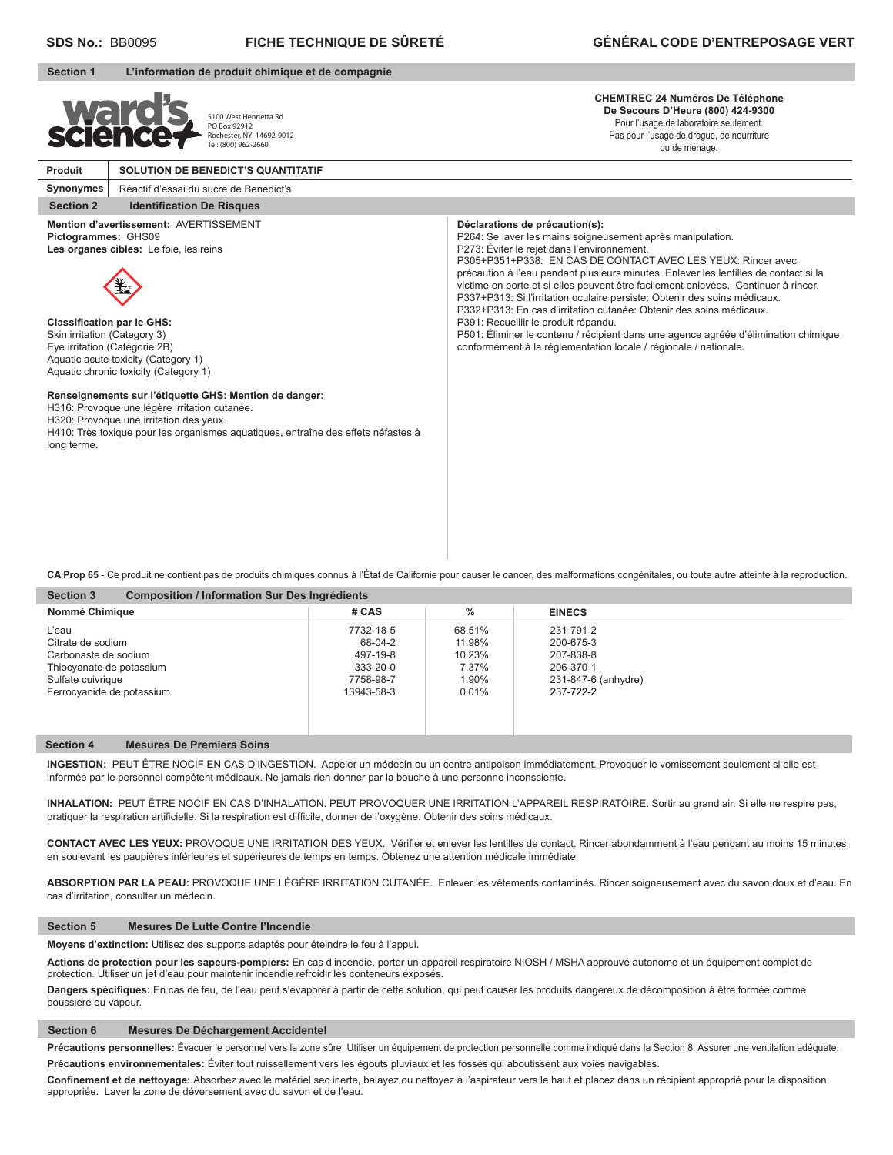| <b>Section 1</b>                                                                                                                         | L'information de produit chimique et de compagnie                                                                                                                                                                                                                                                                                                                                                           |                                                                                                                                                                                                                                                                                                                                                                                                                                                                                                                                                                                                                                                                                                                                                  |
|------------------------------------------------------------------------------------------------------------------------------------------|-------------------------------------------------------------------------------------------------------------------------------------------------------------------------------------------------------------------------------------------------------------------------------------------------------------------------------------------------------------------------------------------------------------|--------------------------------------------------------------------------------------------------------------------------------------------------------------------------------------------------------------------------------------------------------------------------------------------------------------------------------------------------------------------------------------------------------------------------------------------------------------------------------------------------------------------------------------------------------------------------------------------------------------------------------------------------------------------------------------------------------------------------------------------------|
| <b>Ward?</b><br>science                                                                                                                  | 5100 West Henrietta Rd<br>PO Box 92912<br>Rochester, NY 14692-9012<br>Tel: (800) 962-2660                                                                                                                                                                                                                                                                                                                   | <b>CHEMTREC 24 Numéros De Téléphone</b><br>De Secours D'Heure (800) 424-9300<br>Pour l'usage de laboratoire seulement.<br>Pas pour l'usage de drogue, de nourriture<br>ou de ménage.                                                                                                                                                                                                                                                                                                                                                                                                                                                                                                                                                             |
| Produit                                                                                                                                  | <b>SOLUTION DE BENEDICT'S QUANTITATIF</b>                                                                                                                                                                                                                                                                                                                                                                   |                                                                                                                                                                                                                                                                                                                                                                                                                                                                                                                                                                                                                                                                                                                                                  |
| Synonymes                                                                                                                                | Réactif d'essai du sucre de Benedict's                                                                                                                                                                                                                                                                                                                                                                      |                                                                                                                                                                                                                                                                                                                                                                                                                                                                                                                                                                                                                                                                                                                                                  |
| <b>Section 2</b>                                                                                                                         | <b>Identification De Risques</b>                                                                                                                                                                                                                                                                                                                                                                            |                                                                                                                                                                                                                                                                                                                                                                                                                                                                                                                                                                                                                                                                                                                                                  |
| Pictogrammes: GHS09<br><b>Classification par le GHS:</b><br>Skin irritation (Category 3)<br>Eye irritation (Catégorie 2B)<br>long terme. | Mention d'avertissement: AVERTISSEMENT<br>Les organes cibles: Le foie, les reins<br>Aquatic acute toxicity (Category 1)<br>Aquatic chronic toxicity (Category 1)<br>Renseignements sur l'étiquette GHS: Mention de danger:<br>H316: Provoque une légère irritation cutanée.<br>H320: Provoque une irritation des yeux.<br>H410: Très toxique pour les organismes aquatiques, entraîne des effets néfastes à | Déclarations de précaution(s):<br>P264: Se laver les mains soigneusement après manipulation.<br>P273: Éviter le rejet dans l'environnement.<br>P305+P351+P338: EN CAS DE CONTACT AVEC LES YEUX: Rincer avec<br>précaution à l'eau pendant plusieurs minutes. Enlever les lentilles de contact si la<br>victime en porte et si elles peuvent être facilement enlevées. Continuer à rincer.<br>P337+P313: Si l'irritation oculaire persiste: Obtenir des soins médicaux.<br>P332+P313: En cas d'irritation cutanée: Obtenir des soins médicaux.<br>P391: Recueillir le produit répandu.<br>P501: Éliminer le contenu / récipient dans une agence agréée d'élimination chimique<br>conformément à la réglementation locale / régionale / nationale. |

**CA Prop 65** - Ce produit ne contient pas de produits chimiques connus à l'État de Californie pour causer le cancer, des malformations congénitales, ou toute autre atteinte à la reproduction.

| Nommé Chimique            | # CAS      | $\%$   | <b>EINECS</b>       |  |
|---------------------------|------------|--------|---------------------|--|
| L'eau                     | 7732-18-5  | 68.51% | 231-791-2           |  |
| Citrate de sodium         | 68-04-2    | 11.98% | 200-675-3           |  |
| Carbonaste de sodium      | 497-19-8   | 10.23% | 207-838-8           |  |
| Thiocyanate de potassium  | 333-20-0   | 7.37%  | 206-370-1           |  |
| Sulfate cuivrique         | 7758-98-7  | 1.90%  | 231-847-6 (anhydre) |  |
| Ferrocyanide de potassium | 13943-58-3 | 0.01%  | 237-722-2           |  |

# **Section 4 Mesures De Premiers Soins**

**INGESTION:** PEUT ÊTRE NOCIF EN CAS D'INGESTION. Appeler un médecin ou un centre antipoison immédiatement. Provoquer le vomissement seulement si elle est informée par le personnel compétent médicaux. Ne jamais rien donner par la bouche à une personne inconsciente.

**INHALATION:** PEUT ÊTRE NOCIF EN CAS D'INHALATION. PEUT PROVOQUER UNE IRRITATION L'APPAREIL RESPIRATOIRE. Sortir au grand air. Si elle ne respire pas, pratiquer la respiration artificielle. Si la respiration est difficile, donner de l'oxygène. Obtenir des soins médicaux.

CONTACT AVEC LES YEUX: PROVOQUE UNE IRRITATION DES YEUX. Vérifier et enlever les lentilles de contact. Rincer abondamment à l'eau pendant au moins 15 minutes, en soulevant les paupières inférieures et supérieures de temps en temps. Obtenez une attention médicale immédiate.

**ABSORPTION PAR LA PEAU:** PROVOQUE UNE LÉGÈRE IRRITATION CUTANÉE. Enlever les vêtements contaminés. Rincer soigneusement avec du savon doux et d'eau. En cas d'irritation, consulter un médecin.

### **Section 5 Mesures De Lutte Contre l'Incendie**

**Moyens d'extinction:** Utilisez des supports adaptés pour éteindre le feu à l'appui.

**Actions de protection pour les sapeurs-pompiers:** En cas d'incendie, porter un appareil respiratoire NIOSH / MSHA approuvé autonome et un équipement complet de protection. Utiliser un jet d'eau pour maintenir incendie refroidir les conteneurs exposés.

Dangers spécifiques: En cas de feu, de l'eau peut s'évaporer à partir de cette solution, qui peut causer les produits dangereux de décomposition à être formée comme poussière ou vapeur.

### **Section 6 Mesures De Déchargement Accidentel**

Précautions personnelles: Évacuer le personnel vers la zone sûre. Utiliser un équipement de protection personnelle comme indiqué dans la Section 8. Assurer une ventilation adéquate. **Précautions environnementales:** Éviter tout ruissellement vers les égouts pluviaux et les fossés qui aboutissent aux voies navigables.

Confinement et de nettoyage: Absorbez avec le matériel sec inerte, balayez ou nettoyez à l'aspirateur vers le haut et placez dans un récipient approprié pour la disposition appropriée. Laver la zone de déversement avec du savon et de l'eau.